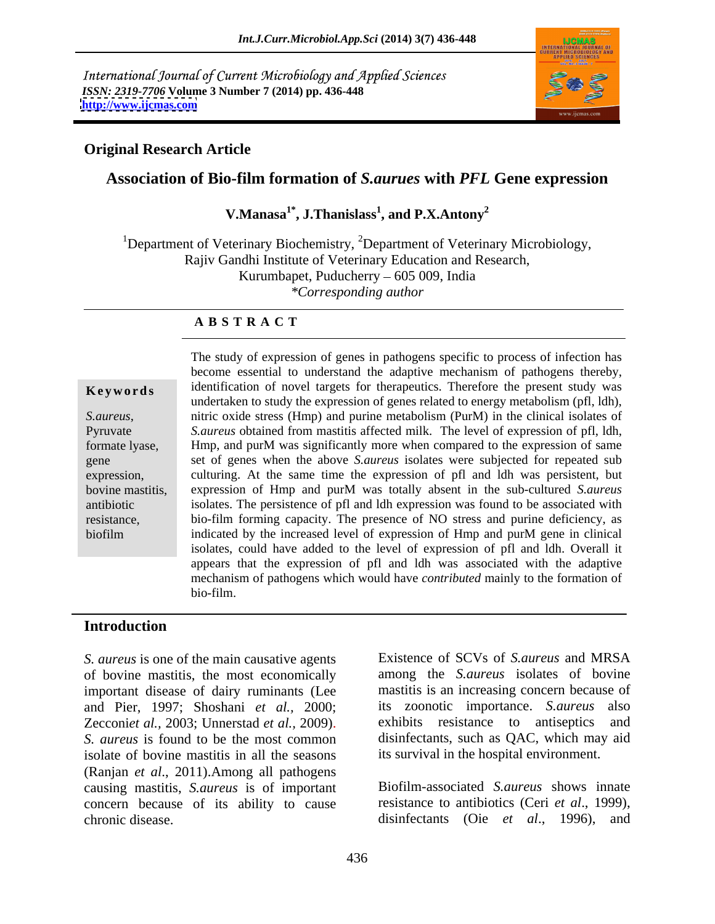International Journal of Current Microbiology and Applied Sciences *ISSN: 2319-7706* **Volume 3 Number 7 (2014) pp. 436-448 <http://www.ijcmas.com>**



## **Original Research Article**

## **Association of Bio-film formation of** *S.aurues* **with** *PFL* **Gene expression**

**V.Manasa1\* , J.Thanislass<sup>1</sup> , and P.X.Antony<sup>2</sup>**

<sup>1</sup>Department of Veterinary Biochemistry, <sup>2</sup>Department of Veterinary Microbiology, Rajiv Gandhi Institute of Veterinary Education and Research, Kurumbapet, Puducherry – 605 009, India *\*Corresponding author* 

## **A B S T R A C T**

**Keywords** identification of novel targets for therapeutics. Therefore the present study was *S.aureus*, hitric oxide stress (Hmp) and purine metabolism (PurM) in the clinical isolates of Pyruvate S.aureus obtained from mastitis affected milk. The level of expression of pfl, ldh, formate lyase, Hmp, and purM was significantly more when compared to the expression of same gene set of genes when the above *S.aureus* isolates were subjected for repeated sub expression, culturing. At the same time the expression of pfl and ldh was persistent, but bovine mastitis, expression of Hmp and purM was totally absent in the sub-cultured *S.aureus* antibiotic isolates. The persistence of pfl and ldh expression was found to be associated with resistance, bio-film forming capacity. The presence of NO stress and purine deficiency, as biofilm indicated by the increased level of expression of Hmp and purM gene in clinical The study of expression of genes in pathogens specific to process of infection has become essential to understand the adaptive mechanism of pathogens thereby, undertaken to study the expression of genes related to energy metabolism (pfl, ldh), nitric oxide stress (Hmp) and purine metabolism (PurM) in the clinical isolates of isolates, could have added to the level of expression of pfl and ldh. Overall it appears that the expression of pfl and ldh was associated with the adaptive mechanism of pathogens which would have *contributed* mainly to the formation of bio-film.

## **Introduction**

*S. aureus* is one of the main causative agents of bovine mastitis, the most economically important disease of dairy ruminants (Lee and Pier, 1997; Shoshani *et al.,* 2000; Zecconiet al., 2003; Unnerstad et al., 2009). exhibits resistance to antiseptics and *S. aureus* is found to be the most common disinfectants, such as QAC, which may aid isolate of bovine mastitis in all the seasons (Ranjan *et al*., 2011).Among all pathogens causing mastitis, *S.aureus* is of important concern because of its ability to cause chronic disease. disinfectants (Oie *et al*., 1996), and

Existence of SCVs of *S.aureus* and MRSA among the *S.aureus* isolates of bovine mastitis is an increasing concern because of its zoonotic importance. *S.aureus* also exhibits resistance to antiseptics its survival in the hospital environment.

Biofilm-associated *S.aureus* shows innate resistance to antibiotics (Ceri *et al*., 1999),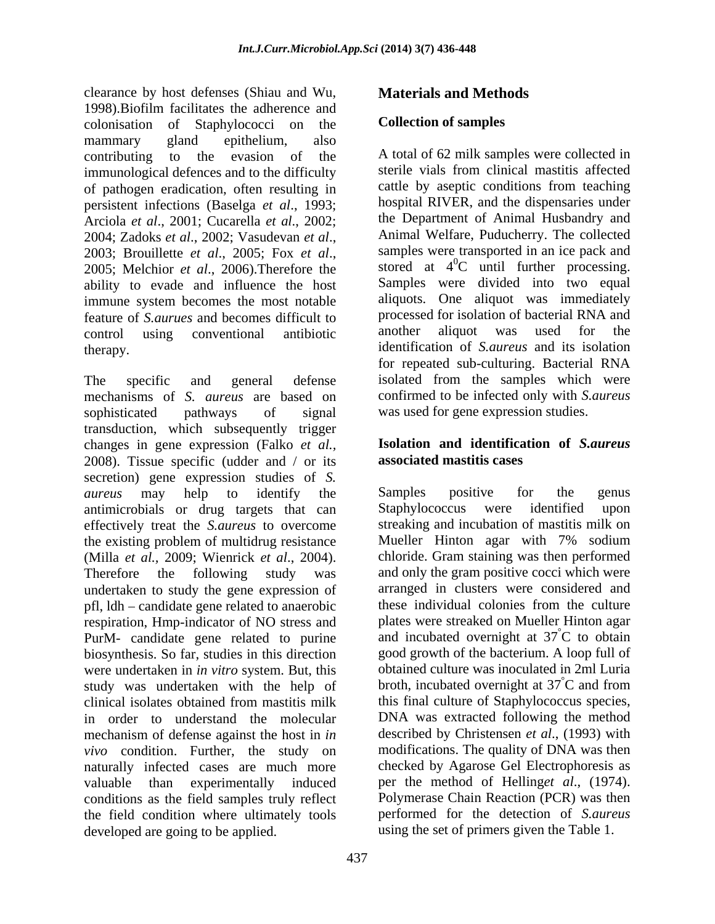clearance by host defenses (Shiau and Wu, 1998).Biofilm facilitates the adherence and colonisation of Staphylococci on the **Collection of samples** mammary gland epithelium, also immunological defences and to the difficulty of pathogen eradication, often resulting in persistent infections (Baselga *et al*., 1993; Arciola *et al*., 2001; Cucarella *et al*., 2002; ability to evade and influence the host immune system becomes the most notable feature of *S.aurues* and becomes difficult to the processed for isolation of bacterial RNA<br>control using conventional antibiotic another aliquot was used for

The specific and general defense isolated from the samples which were mechanisms of *S. aureus* are based on sophisticated pathways of signal was used for gene expression studies. transduction, which subsequently trigger changes in gene expression (Falko *et al.,* 2008). Tissue specific (udder and / or its **associated mastitis cases** secretion) gene expression studies of *S. aureus* may help to identify the antimicrobials or drug targets that can effectively treat the *S.aureus* to overcome the existing problem of multidrug resistance (Milla *et al.,* 2009; Wienrick *et al*., 2004). Therefore the following study was and only the gram positive cocci which were undertaken to study the gene expression of pfl, ldh candidate gene related to anaerobic respiration, Hmp-indicator of NO stress and PurM- candidate gene related to purine biosynthesis. So far, studies in this direction were undertaken in *in vitro* system. But, this study was undertaken with the help of clinical isolates obtained from mastitis milk in order to understand the molecular mechanism of defense against the host in *in vivo* condition. Further, the study on naturally infected cases are much more valuable than experimentally induced per the method of Helling*et al*., (1974). conditions as the field samples truly reflect the field condition where ultimately tools developed are going to be applied. using the set of primers given the Table 1.

## **Materials and Methods**

## **Collection of samples**

contributing to the evasion of the A total of 62 milk samples were collected in 2004; Zadoks *et al.*, 2002; Vasudevan *et al.*, Animal Welfare, Puducherry. The collected<br>2003; Brouillette *et al.*, 2005; Fox *et al.*, samples were transported in an ice pack and<br>2005; Melchior *et al.*, 2006).Therefor control using conventional antibiotic therapy. identification of *S.aureus* and its isolation sterile vials from clinical mastitis affected cattle by aseptic conditions from teaching hospital RIVER, and the dispensaries under the Department of Animal Husbandry and Animal Welfare, Puducherry. The collected samples were transported in an ice pack and stored at  $4^0C$  until further processing.  ${}^{0}C$  until further processing. Samples were divided into two equal aliquots. One aliquot was immediately processed for isolation of bacterial RNA and another aliquot was used for the for repeated sub-culturing. Bacterial RNA confirmed to be infected only with *S.aureus*

## **Isolation and identification of** *S.aureus* **associated mastitis cases**

Samples positive for the genus Staphylococcus were identified upon streaking and incubation of mastitis milk on Mueller Hinton agar with 7% sodium chloride. Gram staining was then performed arranged in clusters were considered and these individual colonies from the culture plates were streaked on Mueller Hinton agar and incubated overnight at  $37^{\circ}$ C to obtain °C to obtain good growth of the bacterium. A loop full of obtained culture was inoculated in 2ml Luria broth, incubated overnight at  $37^{\circ}$ C and from °C and from this final culture of Staphylococcus species, DNA was extracted following the method described by Christensen *et al*., (1993) with modifications. The quality of DNA was then checked by Agarose Gel Electrophoresis as Polymerase Chain Reaction (PCR) was then performed for the detection of *S.aureus*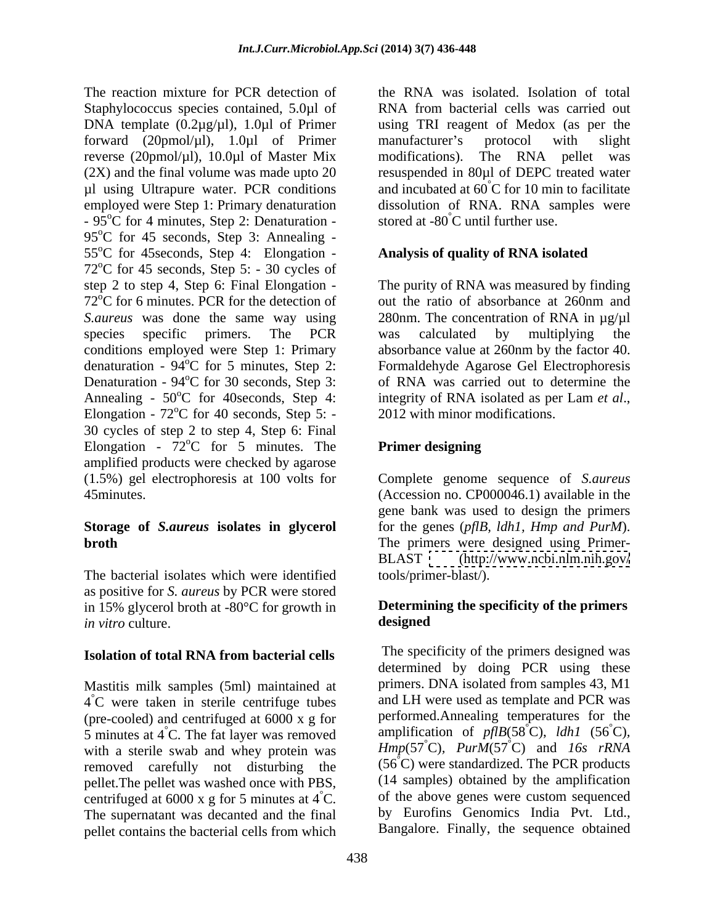The reaction mixture for PCR detection of Staphylococcus species contained, 5.0µl of DNA template (0.2µg/µl), 1.0µl of Primer using TRI reagent of Medox (as per the forward (20pmol/µl), 1.0µl of Primer reverse (20pmol/µl), 10.0µl of Master Mix modifications). The RNA pellet was (2X) and the final volume was made upto 20 resuspended in 80µl of DEPC treated water  $\mu$ l using Ultrapure water. PCR conditions and incubated at 60°C for 10 min to facilitate employed were Step 1: Primary denaturation  $-95^{\circ}$ C for 4 minutes, Step 2: Denaturation - stored at -80 $^{\circ}$ C until further use.  $95^{\circ}$ C for 45 seconds, Step 3: Annealing -55<sup>o</sup>C for 45 seconds, Step 4: Elongation - $72^{\circ}$ C for 45 seconds, Step 5: - 30 cycles of step 2 to step 4, Step 6: Final Elongation - The purity of RNA was measured by finding  $72^{\circ}$ C for 6 minutes. PCR for the detection of out the ratio of absorbance at 260nm and *S.aureus* was done the same way using 280nm. The concentration of RNA in µg/µl species specific primers. The PCR was calculated by multiplying the conditions employed were Step 1: Primary absorbance value at 260nm by the factor 40. denaturation - 94<sup>o</sup>C for 5 minutes, Step 2: Formaldehyde Agarose Gel Electrophoresis Denaturation - 94<sup>o</sup>C for 30 seconds, Step 3: of RNA was carried out to determine the Annealing -  $50^{\circ}$ C for 40 seconds, Step 4: integrity of RNA isolated as per Lam *et al.*, Elongation -  $72^{\circ}$ C for 40 seconds, Step 5: - 2012 with minor modifications. 30 cycles of step 2 to step 4, Step 6: Final Elongation -  $72^{\circ}$ C for 5 minutes. The Primer designing  $\rm ^{o}C$  for 5 minutes. The **Primer designing** amplified products were checked by agarose (1.5%) gel electrophoresis at100 volts for Complete genome sequence of *S.aureus* 45minutes. (Accession no. CP000046.1) available in the

The bacterial isolates which were identified as positive for *S. aureus* by PCR were stored in 15% glycerol broth at -80 $^{\circ}$ C for growth in **Determin**<br>*in vitro* culture **designed** *in vitro* culture.

## **Isolation of total RNA from bacterial cells**

Mastitis milk samples (5ml) maintained at  $4^{\circ}$ C were taken in sterile centrifuge tubes (pre-cooled) and centrifuged at 6000 x g for 5 minutes at 4 °C. The fat layer was removed<br>with a sterile swab and whey protein was  $Hmp(57^{\circ}C)$ ,  $PurnM(57^{\circ}C)$  and 16s rRNA with a sterile swab and whey protein was removed carefully not disturbing the pellet.The pellet was washed once with PBS, centrifuged at 6000 x g for 5 minutes at  $4^{\circ}$ C. The supernatant was decanted and the final pellet contains the bacterial cells from which

the RNA was isolated. Isolation of total RNA from bacterial cells was carried out manufacturer's protocol with slight modifications). The RNA pellet was dissolution of RNA. RNA samples were stored at -80°C until further use.

## **Analysis of quality of RNA isolated**

 $^{\circ}$ C for 40 seconds, Step 5: - 2012 with minor modifications. out the ratio of absorbance at 260nm and was calculated by multiplying the integrity of RNA isolated as per Lam *et al*., 2012 with minor modifications.

## **Primer designing**

**Storage of** *S.aureus* **isolatesin glycerol** for the genes (*pflB, ldh1, Hmp and PurM*). **broth** The primers were designed using Primergene bank was used to design the primers BLAST [\(http://www.ncbi.nlm.nih.gov/](http://www.ncbi.nlm.nih.gov/) tools/primer-blast/).

## **Determining the specificity of the primers designed**

°C were taken in sterile centrifuge tubes and LH were used as template and PCR was amplification of  $pflB(58\degree C)$ , *ldh1* (56 $\degree C$ ), °C. of the above genes were custom sequenced The specificity of the primers designed was determined by doing PCR using these primers. DNA isolated from samples 43, M1 performed.Annealing temperatures for the amplification of *pflB*(58°C), *ldh1* (56°C)*, Hmp*(57°C)*, PurM*(57°C) and *16s rRNA*  $(56^{\circ}$ C) were standardized. The PCR products (14 samples) obtained by the amplification by Eurofins Genomics India Pvt. Ltd., Bangalore. Finally, the sequence obtained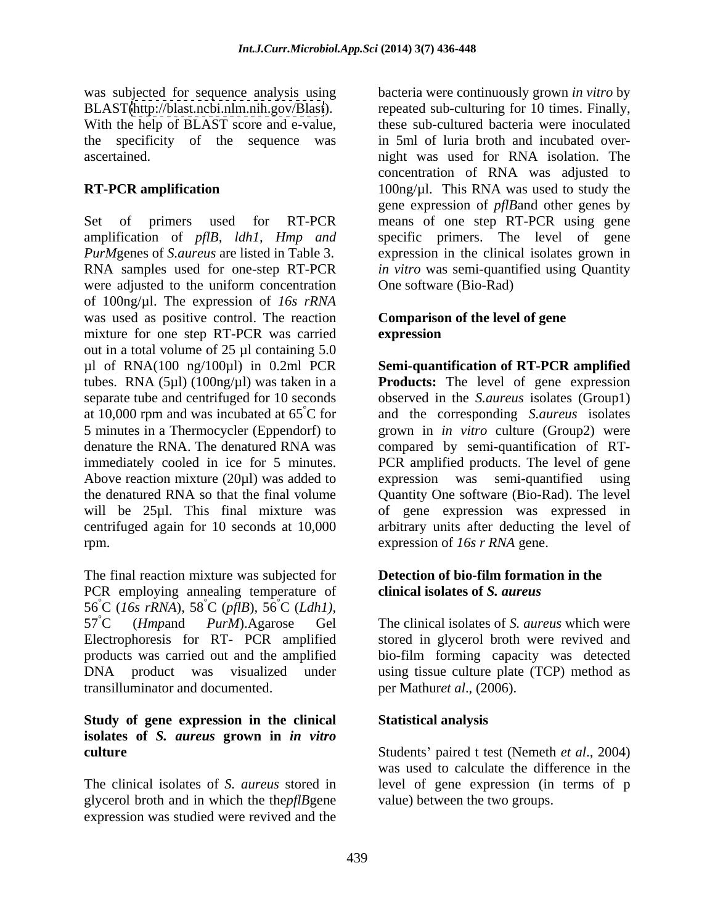BLAST[\(http://blast.ncbi.nlm.nih.gov/Blast](http://blast.ncbi.nlm.nih.gov/Blast)). With the help of BLAST score and e-value,

Set of primers used for RT-PCR means of one step RT-PCR using gene amplification of *pflB, ldh1, Hmp and PurM*genes of *S.aureus* are listed in Table 3. expression in the clinical isolates grown in RNA samples used for one-step RT-PCR *in vitro* was semi-quantified using Quantity were adjusted to the uniform concentration of 100ng/µl. The expression of *16s rRNA* was used as positive control. The reaction mixture for one step RT-PCR was carried out in a total volume of 25 µl containing 5.0 µl of RNA(100 ng/100µl) in 0.2ml PCR **Semi-quantification of RT-PCR amplified** tubes. RNA (5µl) (100ng/µl) was taken in a **Products:** The level of gene expression separate tube and centrifuged for 10 seconds observed in the *S.aureus* isolates (Group1) at 10,000 rpm and was incubated at 65 °C for and the corresponding *S.aureus* isolates 5 minutes in a Thermocycler (Eppendorf) to grown in *in vitro* culture (Group2) were denature the RNA. The denatured RNA was compared by semi-quantification of RT immediately cooled in ice for 5 minutes. PCR amplified products. The level of gene Above reaction mixture (20µl) was added to expression was semi-quantified using the denatured RNA so that the final volume Quantity One software (Bio-Rad). The level will be 25µl. This final mixture was of gene expression was expressed in centrifuged again for 10 seconds at 10,000 rpm. expression of *16s r RNA* gene.

The final reaction mixture was subjected for PCR employing annealing temperature of 56°C (*16s rRNA*), 58  $\rm^{\circ}C$  (*pfIB*),  $\rm 56^{\circ}C$  (*Ldh1*),  ${}^{\circ}C$  (*Ldh1*), 57°C (*Hmp*and *PurM*).Agarose Gel The clinical isolates of *S. aureus* which were Electrophoresis for RT- PCR amplified stored in glycerol broth were revived and products was carried out and the amplified bio-film forming capacity was detected DNA product was visualized under using tissue culture plate (TCP) method as transilluminator and documented.

## **Study of gene expression in the clinical isolates of** *S. aureus* **grown in** *in vitro*

glycerol broth and in which the the*pflB*gene expression was studied were revived and the

was subjected for sequence analysis using bacteria were continuously grown *in vitro* by the specificity of the sequence was in 5ml of luria broth and incubated over ascertained. night was used for RNA isolation. The **RT-PCR amplification** 100ng/µl. This RNA was used to study the repeated sub-culturing for 10 times. Finally, these sub-cultured bacteria were inoculated concentration of RNA was adjusted to gene expression of *pflB*and other genes by specific primers. The level of gene One software (Bio-Rad)

## **Comparison of the level of gene expression**

arbitrary units after deducting the level of

## **Detection of bio-film formation in the clinical isolates of** *S. aureus*

per Mathur*et al*., (2006).

## **Statistical analysis**

**culture** Students' paired t test (Nemeth *et al.*, 2004) The clinical isolates of *S. aureus* stored in level of gene expression (in terms of p was used to calculate the difference in the value) between the two groups.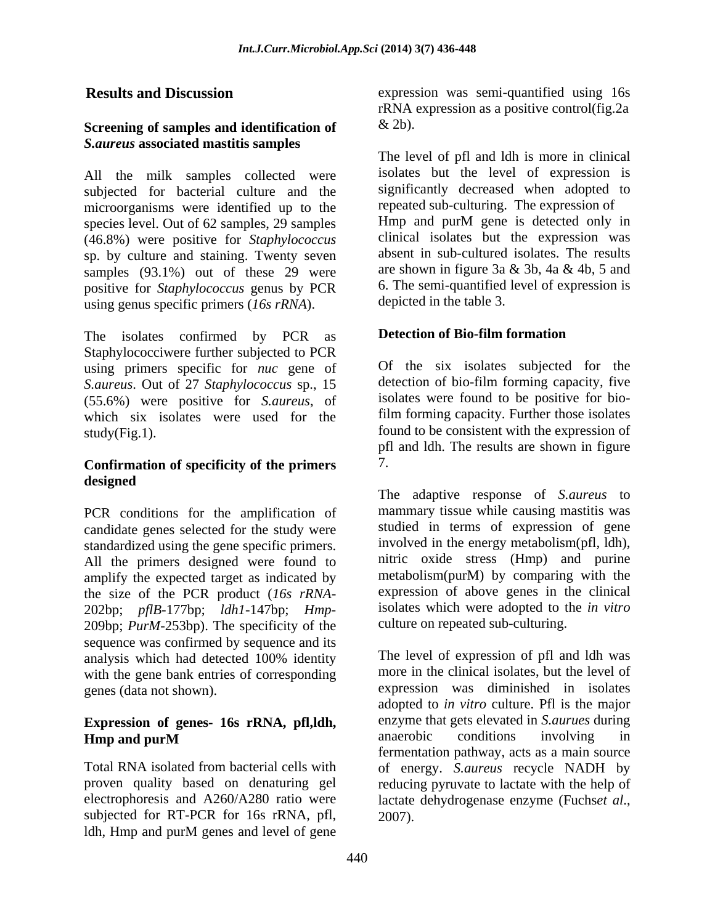## **Screening of samples and identification of** *S.aureus* **associated mastitis samples**

All the milk samples collected were subjected for bacterial culture and the microorganisms were identified up to the repeated sub-culturing. The expression of species level Out of 62 samples 29 samples Hmp and purM gene is detected only in species level. Out of 62 samples, 29 samples (46.8%) were positive for *Staphylococcus* sp. by culture and staining. Twenty seven samples (93.1%) out of these 29 were positive for *Staphylococcus* genus by PCR using genus specific primers (*16s rRNA*).

The isolates confirmed by PCR as Staphylococciwere further subjected to PCR using primers specific for *nuc* gene of *S.aureus*. Out of 27 *Staphylococcus* sp., 15 (55.6%) were positive for *S.aureus*, of which six isolates were used for the  $study(Fig.1).$ 

## **Confirmation of specificity of the primers designed**

PCR conditions for the amplification of candidate genes selected for the study were standardized using the gene specific primers. All the primers designed were found to amplify the expected target as indicated by the size of the PCR product (*16s rRNA*- 202bp; *pflB*-177bp; *ldh1*-147bp; *Hmp*- 209bp; *PurM*-253bp). The specificity of the sequence was confirmed by sequence and its with the gene bank entries of corresponding genes (data not shown).

# **Expression of genes- 16s rRNA, pfl,ldh,** enzyme that gets elevated in *S. aurues* during<br> **EXPLACE:** anaerobic conditions involving in

electrophoresis and A260/A280 ratio were lactate dehydrogenase enzyme (Fuchset al., subjected for RT-PCR for 16s rRNA, pfl, 2007). ldh, Hmp and purM genes and level of gene

**Results and Discussion** expression was semi-quantified using 16s rRNA expression as a positive control(fig.2a  $\&$  2b).

> The level of pfl and ldh is more in clinical isolates but the level of expression is significantly decreased when adopted to repeated sub-culturing. The expression of Hmp and purM gene is detected only in clinical isolates but the expression was absent in sub-cultured isolates. The results are shown in figure 3a & 3b, 4a & 4b, 5 and 6. The semi-quantified level of expression is depicted in the table 3.

## **Detection of Bio-film formation**

Of the six isolates subjected for the detection of bio-film forming capacity, five isolates were found to be positive for biofilm forming capacity. Further those isolates found to be consistent with the expression of pfl and ldh. The results are shown in figure 7.

The adaptive response of *S.aureus* to mammary tissue while causing mastitis was studied in terms of expression of gene involved in the energy metabolism(pfl, ldh), nitric oxide stress (Hmp) and purine metabolism(purM) by comparing with the expression of above genes in the clinical isolates which were adopted to the *in vitro* culture on repeated sub-culturing.

analysis which had detected 100% identity **Hmp and purM** anaerobic conditions involving in Total RNA isolated from bacterial cells with of energy. *S.aureus* recycle NADH by proven quality based on denaturing gel reducing pyruvate to lactate with the help of The level of expression of pfl and ldh was more in the clinical isolates, but the level of expression was diminished in isolates adopted to *in vitro* culture. Pfl is the major enzyme that gets elevated in *S.aurues* during anaerobic conditions involving in fermentation pathway, acts as a main source lactate dehydrogenase enzyme (Fuchs*et al*., 2007).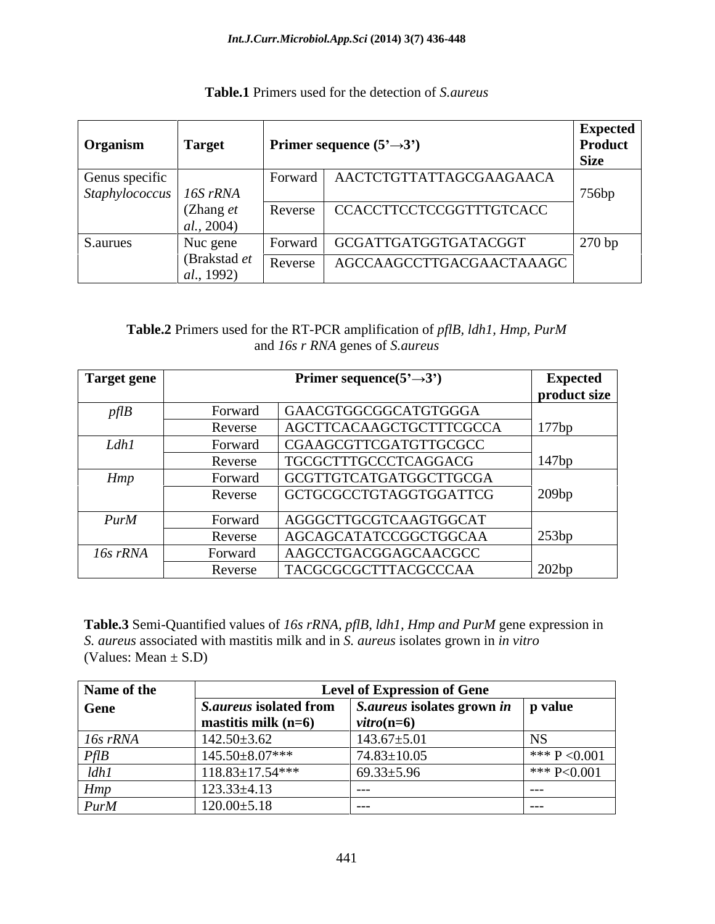| <b>Primer sequence</b> $(5^3 \rightarrow 3^3)$<br><b>Target</b><br>  Organism                                  | Expected<br><b>Product</b><br>Size |
|----------------------------------------------------------------------------------------------------------------|------------------------------------|
| Genus specific<br>AACTCTGTTATTAGCGAAGAACA<br>Forward                                                           |                                    |
| $\big $ Staphylococcus $\big $ 16S rRNA                                                                        | 756bp                              |
| (Zhang $e$<br>  CCACCTTCCTCCGGTTTGTCACC<br>Reverse<br>  $al., 2004$ )                                          |                                    |
| GCGATTGATGGTGATACGGT<br>S.aurues<br>Nuc gene<br>Forwarc<br>(Brakstad et<br>AGCCAAGCCTTGACGAACTAAAGC<br>Reverse | 270 bp                             |

## **Table.1** Primers used for the detection of *S.aureus*

## **Table.2** Primers used for the RT-PCR amplification of *pflB, ldh1, Hmp, PurM*  and *16s r RNA* genes of *S.aureus*

| Target gene |                | Primer sequence $(5' \rightarrow 3')$ | <b>Expected</b> |
|-------------|----------------|---------------------------------------|-----------------|
|             |                |                                       | product size    |
| p f l B     | Forward        | GAACGTGGCGGCATGTGGGA                  |                 |
|             | Reverse        | AGCTTCACAAGCTGCTTTCGCCA               | 177bp           |
| Ldh1        | Forward        | CGAAGCGTTCGATGTTGCGCC                 |                 |
|             | Reverse        | TGCGCTTTGCCCTCAGGACG                  | 147bp           |
| Hmp         | <b>Forward</b> | GCGTTGTCATGATGGCTTGCGA                |                 |
|             | Reverse        | GCTGCGCCTGTAGGTGGATTCG                | 209bp           |
| PurM        | Forward        | AGGGCTTGCGTCAAGTGGCAT                 |                 |
|             | Reverse        | AGCAGCATATCCGGCTGGCAA                 | 253bp           |
| 16s rRNA    | Forward        | AAGCCTGACGGAGCAACGCC                  |                 |
|             | Reverse        | TACGCGCGCTTTACGCCCAA                  | $\sqrt{202bp}$  |

**Table.3** Semi-Quantified values of *16s rRNA, pflB, ldh1, Hmp and PurM* gene expression in *S. aureus* associated with mastitis milk and in *S. aureus* isolates grown in *in vitro* (Values: Mean  $\pm$  S.D)

| Name of the | <b>Level of Expression of Gene</b> |                                   |               |
|-------------|------------------------------------|-----------------------------------|---------------|
| <b>Gene</b> | <i>S.aureus</i> isolated from      | <i>S.aureus</i> isolates grown in | p value       |
|             | mastitis milk $(n=6)$              | $vitro(n=6)$                      |               |
| 16s rRNA    | $142.50 \pm 3.62$                  | $143.67 \pm 5.01$                 |               |
| PfIB        | 145.50±8.07***                     | $74.83 \pm 10.05$                 | *** P < 0.001 |
| ldh1        | $118.83 \pm 17.54$ ***             | $69.33 \pm 5.96$                  | *** P<0.001   |
| Hmp         | $123.33 \pm 4.13$                  | $--$                              |               |
| PurM        | $120.00 \pm 5.18$                  | $--$                              |               |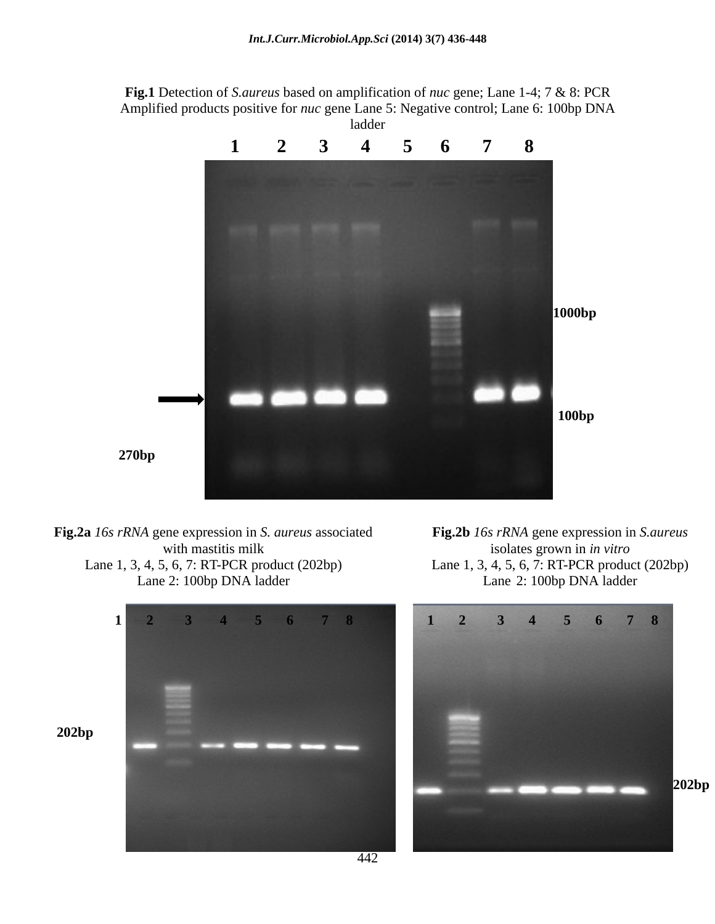**Fig.1** Detection of *S.aureus* based on amplification of *nuc* gene; Lane 1-4; 7 & 8: PCR Amplified products positive for *nuc* gene Lane 5: Negative control; Lane 6: 100bp DNA ladder and the state of the state of the state of the state of the state of the state of the state of the state of the state of the state of the state of the state of the state of the state of the state of the state of the



**Fig.2a** *16s rRNA* gene expression in *S. aureus* associated Lane 1, 3, 4, 5, 6, 7: RT-PCR product (202bp) Lane 1, 3, 4, 5, 6, 7: RT-PCR product (202bp)

with mastitis milk isolates grown in *in vitro* Lane 2: 100bp DNA ladder Lane 2: 100bp DNA ladder **Fig.2b** *16s rRNA* gene expression in *S.aureus*

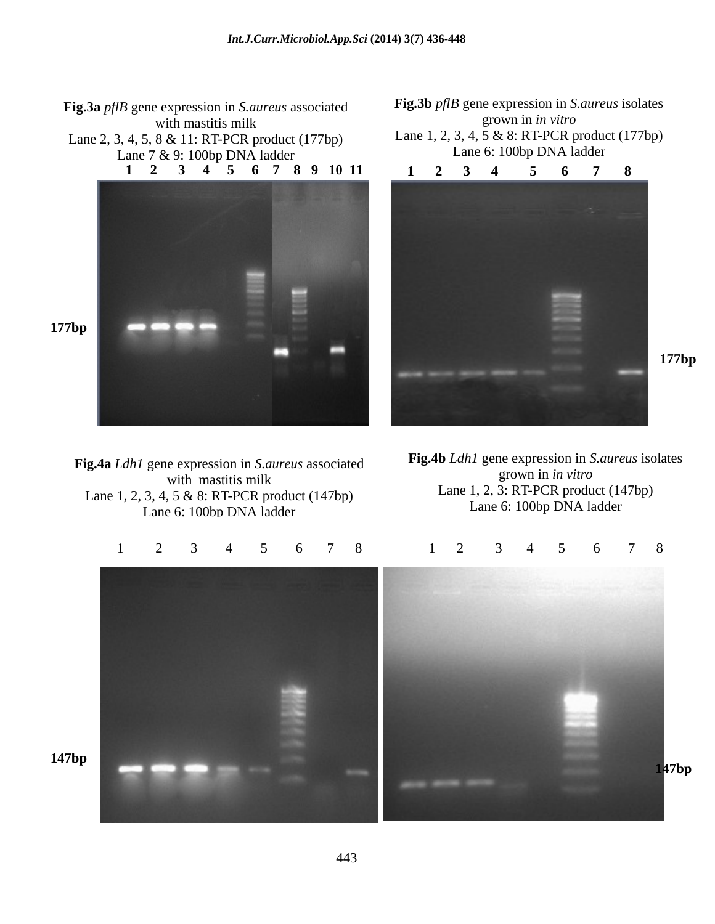**177bp Fig.3a** *pflB* gene expression in *S.aureus* associated<br>with mastitis milk grown in *in vitro* with mastitis milk subsets a series of the series of the series of the series of the series of the series of the series of the series of the series of the series of the series of the series of the series of the series of t Lane 2, 3, 4, 5, 8 & 11: RT-PCR product (177bp) Lane 7 & 9: 100bp DNA ladder **1 2 3 4 5 6 7 8 9 10 11 1 2 3 4 5 6 7 8** 

**Fig.4a** *Ldh1* gene expression in *S.aureus* associated Lane 1, 2, 3, 4, 5 & 8: RT-PCR product (147bp) Lane 6: 100bp DNA ladder

with mastitis milk  $\frac{\text{growth}}{1.2.2 \text{ P/T PGP}}$  (1.171) **Fig.4b** *Ldh1* gene expression in *S.aureus* isolates grown in *in vitro* Lane 1, 2, 3: RT-PCR product (147bp) Lane 6: 100bp DNA ladder

**177bp**





**Fig.3b** *pflB* gene expression in *S.aureus* isolates Lane 1, 2, 3, 4, 5 & 8: RT-PCR product (177bp) Lane 6: 100bp DNA ladder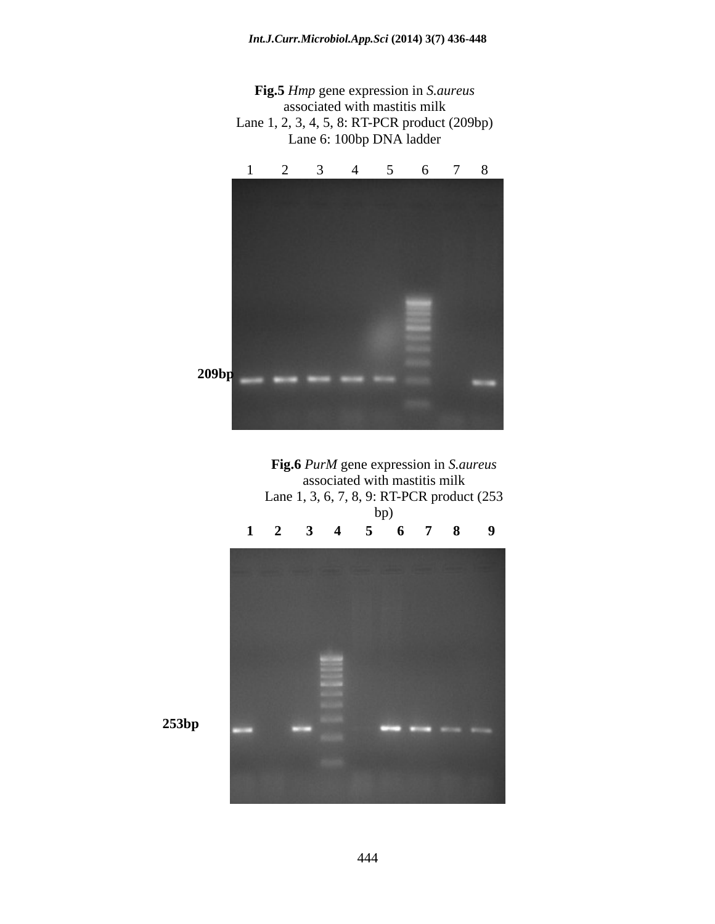







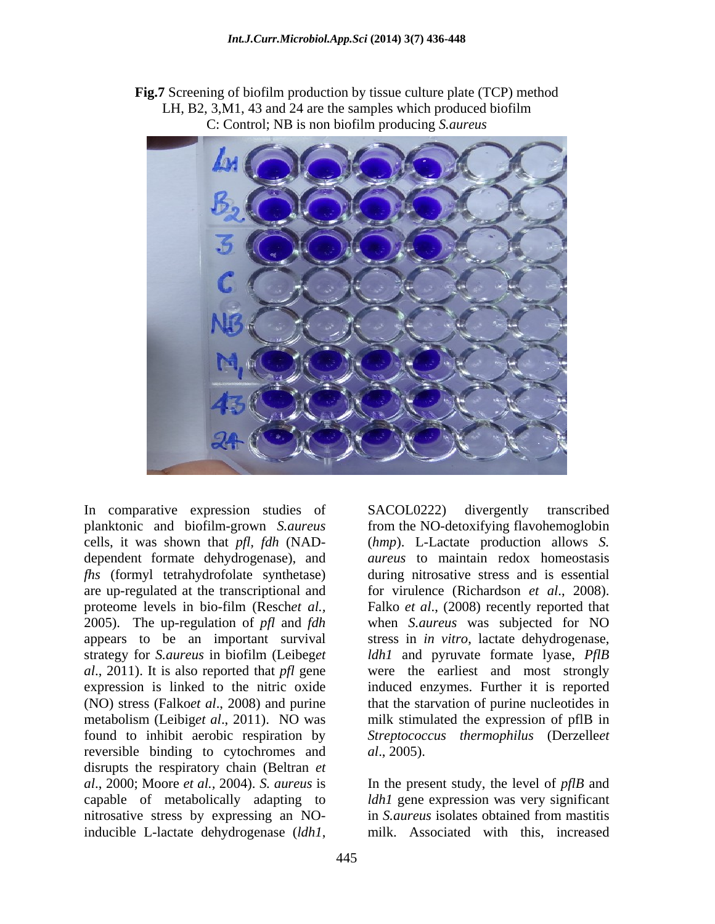**Fig.7** Screening of biofilm production by tissue culture plate (TCP) method LH, B2, 3,M1, 43 and 24 are the samples which produced biofilm C: Control; NB is non biofilm producing *S.aureus*



In comparative expression studies of SACOL0222) divergently transcribed dependent formate dehydrogenase), and proteome levels in bio-film (Resch*et al.,* appears to be an important survival reversible binding to cytochromes and *al.*, 2005). disrupts the respiratory chain (Beltran *et al.*, 2000; Moore *et al.*, 2004). S. *aureus* is *al*., 2000; Moore *et al.,* 2004). *S. aureus* is In the present study, the level of *pflB* and capable of metabolically adapting to *ldh1* gene expression was very significant nitrosative stress by expressing an NO- in *S. aureus* isolates obtained from mastitis In comparative expression studies of SACOL0222) divergently transcribed<br>planktonic cand biofilin-grown *S. aureus* from the NO-detoxitying flavohenonglobin<br>ecells, it was shown that  $pfl$ ,  $fdh$  (NAD- $(hmp)$ . L-Lactate produ

planktonic and biofilm-grown *S.aureus* from the NO-detoxifying flavohemoglobin cells, it was shown that *pfl, fdh* (NAD- (*hmp*). L-Lactate production allows *S. fhs* (formyl tetrahydrofolate synthetase) during nitrosative stress and is essential are up-regulated at the transcriptional and for virulence (Richardson *et al*., 2008). 2005). The up-regulation of *pfl* and *fdh* when *S.aureus* was subjected for NO strategy for *S.aureus* in biofilm (Leibeg*et ldh1* and pyruvate formate lyase, *PflB al*., 2011). It is also reported that *pfl* gene were the earliest and most strongly expression is linked to the nitric oxide induced enzymes. Further it is reported (NO) stress (Falko*et al*., 2008) and purine that the starvation of purine nucleotides in metabolism (Leibig*et al*., 2011). NO was milk stimulated the expression of pflB in found to inhibit aerobic respiration by *Streptococcus thermophilus* (Derzelle*et aureus* to maintain redox homeostasis Falko *et al*., (2008) recently reported that stress in *in vitro*, lactate dehydrogenase, *al*., 2005).

> in *S.aureus* isolates obtained from mastitis milk. Associated with this, increased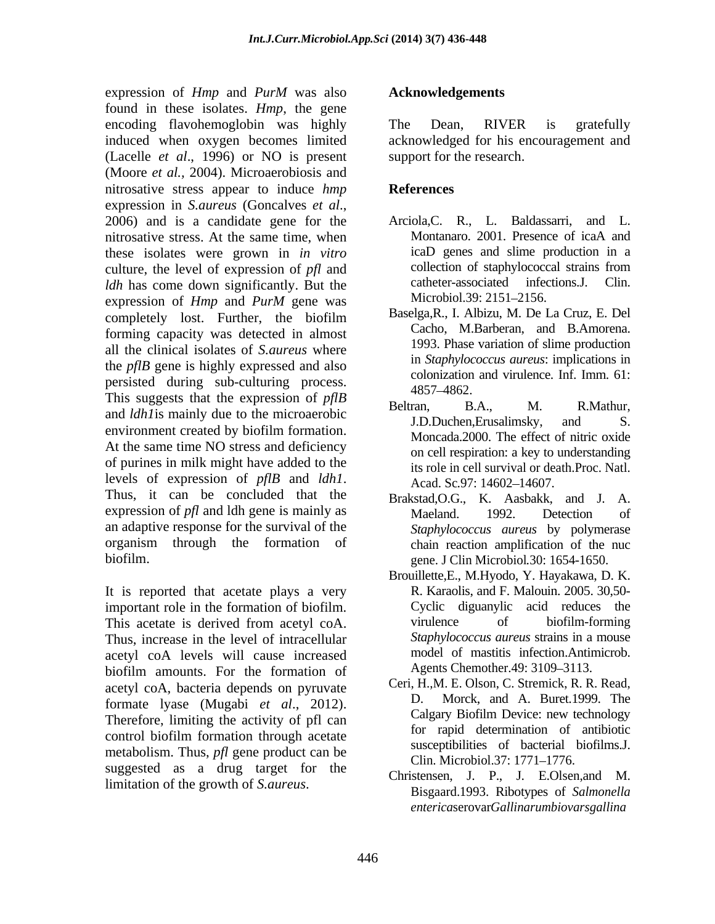expression of *Hmp* and *PurM* was also found in these isolates. *Hmp*, the gene encoding flavohemoglobin was highly The Dean, RIVER is gratefully induced when oxygen becomes limited acknowledged for his encouragement and (Lacelle *et al*., 1996) or NO is present (Moore *et al.,* 2004). Microaerobiosis and nitrosative stress appear to induce *hmp* expression in *S.aureus* (Goncalves *et al*., 2006) and is <sup>a</sup> candidate gene for the nitrosative stress. At the same time, when Montanaro. 2001. Presence of icaA and these isolates were grown in *in vitro* icaD genes and slime production in a culture the level of expression of *nfl* and collection of staphylococcal strains from culture, the level of expression of *pfl* and<br> *ldb* has come down significantly. But the catheter-associated infections.J. Clin. *ldh* has come down significantly. But the catheter-associated infection of Hun and Burl gaps was Microbiol.39: 2151–2156. expression of *Hmp* and *PurM* gene was Microbiol.39: 2151–2156. completely lost. Further, the biofilm  $\qquad$  Baselga, R., I. Albizu, M. De La Cruz, E. Del forming capacity was detected in almost all the clinical isolates of *S.aureus* where the *pflB* gene is highly expressed and also persisted during sub-culturing process.<br>This suggests that the expression of *pflB*  $\frac{4857-4862}{\text{Poltron}}$  B A M B Methur and *ldh1* is mainly due to the microaerobic<br>I.D.Duchen, Erusalimsky, and S. environment created by biofilm formation. At the same time NO stress and deficiency of purines in milk might have added to the levels of expression of *pflB* and *ldh1*. Acad. Sc.97: 14602–14607.<br>Thus, it can be concluded that the Brakstad.O.G., K. Aasbakk, and J. A. expression of *pfl* and ldh gene is mainly as Maeland. 1992. Detection of an adaptive response for the survival of the *Staphylococcus aureus* by polymerase organism through the formation of expression of *Furty* and David was also **Acknowledgements**<br>
emailing line-demonstration on a highly The Dema RiVIER is gratefully<br>
encoded when oxygen becomes limited acknowledged for his encoragement and<br>
thused when oxy

It is reported that acetate plays a very important role in the formation of biofilm. This acetate is derived from acetyl coA. Thus, increase in the level of intracellular acetyl coA levels will cause increased biofilm amounts. For the formation of acetyl coA, bacteria depends on pyruvate Ceri, H.<br>formate lives (Muschi et al. 2012) formate lyase (Mugabi *et al*., 2012). Therefore, limiting the activity of pfl can control biofilm formation through acetate metabolism. Thus, *pfl* gene product can be susceptionally clin. Microbiol.37: 1771–1776. suggested as a drug target for the

The Dean, RIVER is gratefully support for the research.

## **References**

- Arciola,C. R., L. Baldassarri, and L. Montanaro. 2001. Presence of icaA and icaD genes and slime production in a collection of staphylococcal strains from catheter-associated infections.J. Microbiol.39: 2151–2156.
- Baselga,R., I. Albizu, M. De La Cruz, E. Del Cacho, M.Barberan, and B.Amorena. 1993. Phase variation of slime production in *Staphylococcus aureus*: implications in colonization and virulence. Inf. Imm. 61: 4857 4862.
- Beltran, B.A., M. R.Mathur, J.D.Duchen,Erusalimsky, and S. Moncada.2000. The effect of nitric oxide on cell respiration: a key to understanding its role in cell survival or death.Proc. Natl. Acad. Sc.97: 14602–14607.
- biofilm. gene. J Clin Microbiol*.*30: 1654-1650. Brakstad,O.G., K. Aasbakk, and J. A. Maeland. 1992. Detection of chain reaction amplification of the nuc
	- Brouillette,E., M.Hyodo, Y. Hayakawa, D. K. R. Karaolis, and F. Malouin. 2005. 30,50- Cyclic diguanylic acid reduces the virulence of biofilm-forming *Staphylococcus aureus* strains in a mouse model of mastitis infection.Antimicrob. Agents Chemother. 49: 3109–3113.
	- Ceri, H.,M. E. Olson, C. Stremick, R. R. Read, Morck, and A. Buret.1999. The Calgary Biofilm Device: new technology for rapid determination of antibiotic susceptibilities of bacterial biofilms.J. Clin. Microbiol.37: 1771–1776.
	- Christensen, J. P., J. E.Olsen,and M. Bisgaard.1993. Ribotypes of *Salmonella enterica*serovar*Gallinarumbiovarsgallina*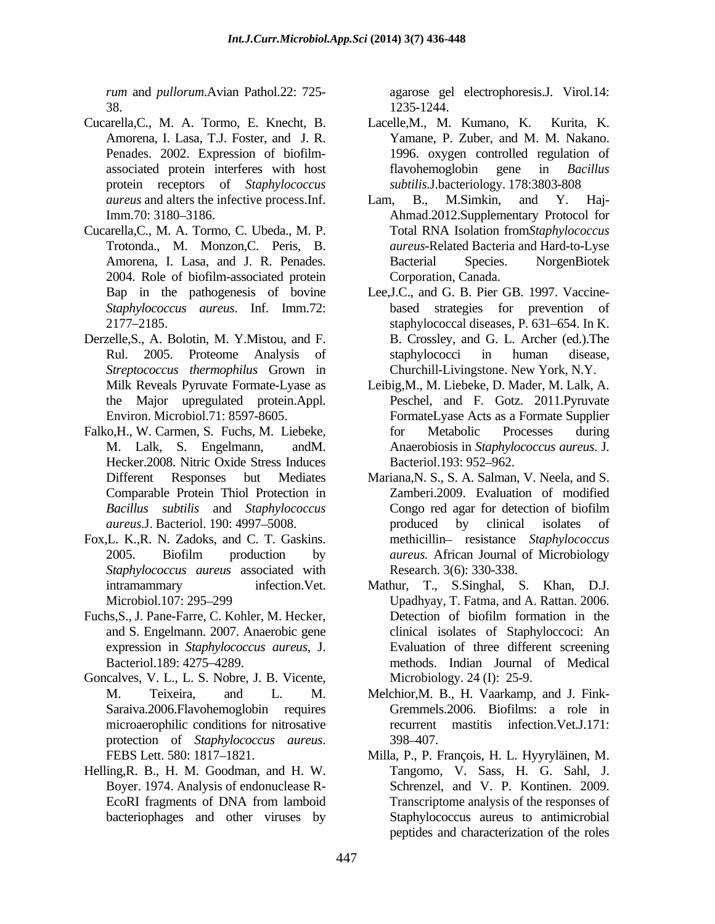*rum* and *pullorum*.Avian Pathol.22: 725- agarose gel electrophoresis.J. Virol.14: 38. 1235-1244.

- Cucarella,C., M. A. Tormo, E. Knecht, B. Amorena, I. Lasa, T.J. Foster, and J. R. protein receptors of *Staphylococcus*
- Cucarella,C., M. A. Tormo, C. Ubeda., M. P. 2004. Role of biofilm-associated protein
- Derzelle,S., A. Bolotin, M. Y.Mistou, and F. *Streptococcus thermophilus* Grown in
- Falko,H., W. Carmen, S. Fuchs, M. Liebeke, Hecker.2008. Nitric Oxide Stress Induces Comparable Protein Thiol Protection in
- Fox,L. K.,R. N. Zadoks, and C. T. Gaskins. *Staphylococcus aureus* associated with
- Fuchs,S., J. Pane-Farre, C. Kohler, M. Hecker, and S. Engelmann. 2007. Anaerobic gene
- Goncalves, V. L., L. S. Nobre, J. B. Vicente, Saraiva.2006.Flavohemoglobin requires microaerophilic conditions for nitrosative protection of *Staphylococcus aureus*. 398–407.<br>FEBS Lett. 580: 1817–1821. Milla, P., P. François, H. L. Hyyryläinen, M.
- Helling,R. B., H. M. Goodman, and H. W. Boyer. 1974. Analysis of endonuclease R-

1235-1244.

- Penades. 2002. Expression of biofilm- 1996. oxygen controlled regulation of associated protein interferes with host flavohemoglobin gene in *Bacillus* Lacelle, M., M. Kumano, K. Yamane, P. Zuber, and M. M. Nakano. flavohemoglobin gene in *Bacillus subtilis*.J.bacteriology. 178:3803-808
- *aureus* and alters the infective process.Inf. Imm.70: 3180 3186. Ahmad.2012.Supplementary Protocol for Trotonda., M. Monzon,C. Peris, B. *aureus*-Related Bacteria and Hard-to-Lyse Amorena, I. Lasa, and J. R. Penades. Lam, B., M.Simkin, and Y. Haj- Total RNA Isolation from*Staphylococcus*  Bacterial Species. NorgenBiotek Corporation, Canada.
- Bap in the pathogenesis of bovine Lee,J.C., and G. B. Pier GB. 1997. Vaccine- *Staphylococcus aureus*. Inf. Imm.72: based strategies for prevention of 2177 2185. staphylococcal diseases, P. 631 654. In K. Rul. 2005. Proteome Analysis of B. Crossley, and G. L. Archer (ed.).The staphylococci in human disease, Churchill-Livingstone. New York, N.Y.
- Milk Reveals Pyruvate Formate-Lyase as Leibig,M., M. Liebeke, D. Mader, M. Lalk, A. the Major upregulated protein.Appl. Peschel, and F. Gotz. 2011.Pyruvate Environ. Microbiol.71: 8597-8605. FormateLyase Acts as a Formate Supplier M. Lalk, S. Engelmann, andM. Anaerobiosis in *Staphylococcus aureus*. J. for Metabolic Processes during Bacteriol.193: 952–962.
- Different Responses but Mediates Mariana,N. S., S. A. Salman, V. Neela, and S. *Bacillus subtilis* and *Staphylococcus aureus*.J. Bacteriol. 190: 4997–5008. The produced by clinical isolates of 2005. Biofilm production by *aureus*. African Journal of Microbiology Zamberi.2009. Evaluation of modified Congo red agar for detection of biofilm produced by clinical isolates of methicillin- resistance *Staphylococcus aureus.* African Journal of Microbiology Research. 3(6): 330-338.
- intramammary infection.Vet. Mathur, T., S.Singhal, S. Khan, D.J. Microbiol.107: 295 299 Upadhyay, T. Fatma, and A. Rattan. 2006. expression in *Staphylococcus aureus*, J. Evaluation of three different screening Bacteriol.189: 4275 4289. methods. Indian Journal of Medical Detection of biofilm formation in the clinical isolates of Staphyloccoci: An Microbiology. 24 (I):  $25-9$ .
- M. Teixeira, and L. M. Melchior,M. B., H. Vaarkamp, and J. Fink- Gremmels.2006. Biofilms: a role in recurrent mastitis infection.Vet.J.171: 398 407.
- EcoRI fragments of DNA from lamboid Transcriptome analysis of the responses of bacteriophages and other viruses by Staphylococcus aureus to antimicrobial Milla, P., P. François, H. L. Hyyryläinen, M. Tangomo, V. Sass, H. G. Sahl, J. Schrenzel, and V. P. Kontinen. 2009. Transcriptome analysis of the responses of peptides and characterization of the roles